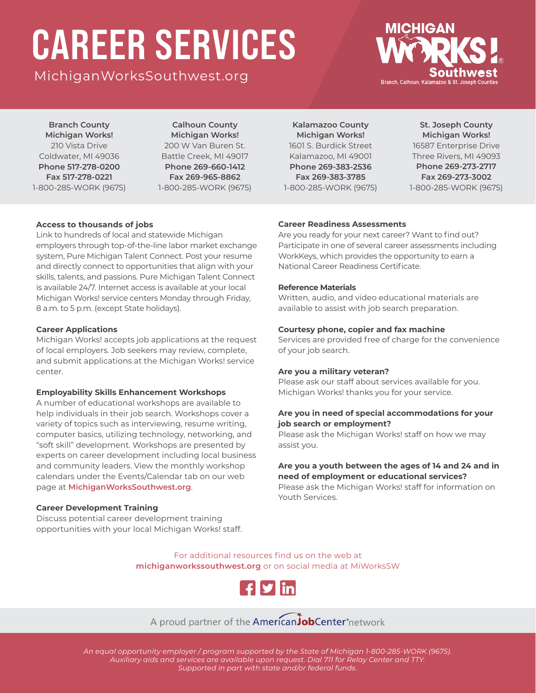# CAREER SERVICES

[MichiganWorksSouthwest.org](https://www.michiganworkssouthwest.org/)



**Branch County Michigan Works!** 210 Vista Drive Coldwater, MI 49036 **Phone 517-278-0200 Fax 517-278-0221** 1-800-285-WORK (9675)

**Calhoun County Michigan Works!** 200 W Van Buren St. Battle Creek, MI 49017 **Phone 269-660-1412 Fax 269-965-8862** 1-800-285-WORK (9675)

**Kalamazoo County Michigan Works!** 1601 S. Burdick Street Kalamazoo, MI 49001 **Phone 269-383-2536 Fax 269-383-3785** 1-800-285-WORK (9675)

**St. Joseph County Michigan Works!** 16587 Enterprise Drive Three Rivers, MI 49093 **Phone 269-273-2717 Fax 269-273-3002** 1-800-285-WORK (9675)

#### **Access to thousands of jobs**

Link to hundreds of local and statewide Michigan employers through top-of-the-line labor market exchange system, Pure Michigan Talent Connect. Post your resume and directly connect to opportunities that align with your skills, talents, and passions. Pure Michigan Talent Connect is available 24/7. Internet access is available at your local Michigan Works! service centers Monday through Friday, 8 a.m. to 5 p.m. (except State holidays).

#### **Career Applications**

Michigan Works! accepts job applications at the request of local employers. Job seekers may review, complete, and submit applications at the Michigan Works! service center.

#### **Employability Skills Enhancement Workshops**

A number of educational workshops are available to help individuals in their job search. Workshops cover a variety of topics such as interviewing, resume writing, computer basics, utilizing technology, networking, and "soft skill" development. Workshops are presented by experts on career development including local business and community leaders. View the monthly workshop calendars under the Events/Calendar tab on our web page at **[MichiganWorksSouthwest.org](https://www.michiganworkssouthwest.org/)**.

#### **Career Development Training**

Discuss potential career development training opportunities with your local Michigan Works! staff.

#### **Career Readiness Assessments**

Are you ready for your next career? Want to find out? Participate in one of several career assessments including WorkKeys, which provides the opportunity to earn a National Career Readiness Certificate.

#### **Reference Materials**

Written, audio, and video educational materials are available to assist with job search preparation.

#### **Courtesy phone, copier and fax machine**

Services are provided free of charge for the convenience of your job search.

#### **Are you a military veteran?**

Please ask our staff about services available for you. Michigan Works! thanks you for your service.

#### **Are you in need of special accommodations for your job search or employment?**

Please ask the Michigan Works! staff on how we may assist you.

#### **Are you a youth between the ages of 14 and 24 and in need of employment or educational services?**

Please ask the Michigan Works! staff for information on Youth Services.

For additional resources find us on the web at **[michiganworkssouthwest.org](https://www.michiganworkssouthwest.org/)** or on social media at MiWorksSW



### A proud partner of the **American JobCenter** network

*An equal opportunity employer / program supported by the State of Michigan 1-800-285-WORK (9675). Auxiliary aids and services are available upon request. Dial 711 for Relay Center and TTY. Supported in part with state and/or federal funds.*